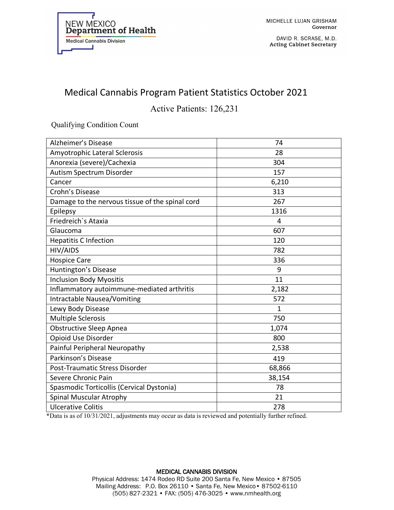

DAVID R. SCRASE, M.D. **Acting Cabinet Secretary** 

## Medical Cannabis Program Patient Statistics October 2021

Active Patients: 126,231

Qualifying Condition Count

| Alzheimer's Disease                             | 74     |
|-------------------------------------------------|--------|
| Amyotrophic Lateral Sclerosis                   | 28     |
| Anorexia (severe)/Cachexia                      | 304    |
| Autism Spectrum Disorder                        | 157    |
| Cancer                                          | 6,210  |
| Crohn's Disease                                 | 313    |
| Damage to the nervous tissue of the spinal cord | 267    |
| Epilepsy                                        | 1316   |
| Friedreich's Ataxia                             | 4      |
| Glaucoma                                        | 607    |
| <b>Hepatitis C Infection</b>                    | 120    |
| HIV/AIDS                                        | 782    |
| <b>Hospice Care</b>                             | 336    |
| Huntington's Disease                            | 9      |
| <b>Inclusion Body Myositis</b>                  | 11     |
| Inflammatory autoimmune-mediated arthritis      | 2,182  |
| Intractable Nausea/Vomiting                     | 572    |
| Lewy Body Disease                               | 1      |
| <b>Multiple Sclerosis</b>                       | 750    |
| <b>Obstructive Sleep Apnea</b>                  | 1,074  |
| Opioid Use Disorder                             | 800    |
| Painful Peripheral Neuropathy                   | 2,538  |
| Parkinson's Disease                             | 419    |
| Post-Traumatic Stress Disorder                  | 68,866 |
| Severe Chronic Pain                             | 38,154 |
| Spasmodic Torticollis (Cervical Dystonia)       | 78     |
| Spinal Muscular Atrophy                         | 21     |
| <b>Ulcerative Colitis</b>                       | 278    |

\*Data is as of 10/31/2021, adjustments may occur as data is reviewed and potentially further refined.

## MEDICAL CANNABIS DIVISION Physical Address: 1474 Rodeo RD Suite 200 Santa Fe, New Mexico • 87505 Mailing Address: P.O. Box 26110 • Santa Fe, New Mexico• 87502-6110 (505) 827-2321 • FAX: (505) 476-3025 • www.nmhealth.org